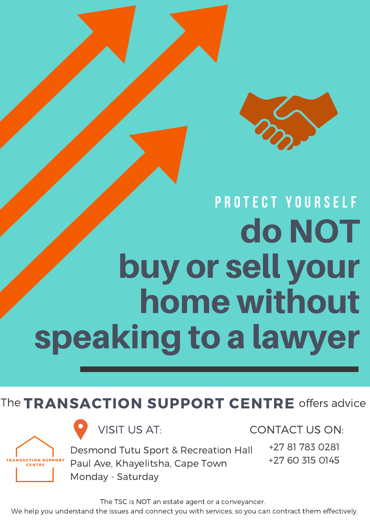### home without speaking to a lawyer

#### The TRANSACTION SUPPORT CENTRE offers advice





**VISIT US AT:** Desmond Tutu Sport & Recreation Hall Paul Ave, Khayelitsha, Cape Town Monday - Saturday CONTACT US ON: +27 81 783 0281 +27 60 315 0145

The TSC is NOT an estate agent or a conveyancer.

**CENTRE**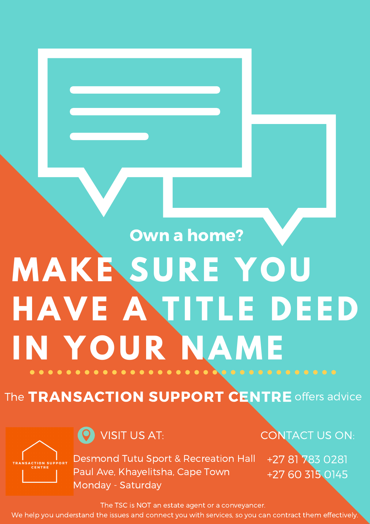### **MAKE SURE YOU HAVE A TITLE DEED I N YOUR N AME** Own a home?

#### The TRANSACTION SUPPORT CENTRE offers advice



Desmond Tutu Sport & Recreation Hall Paul Ave, Khayelitsha, Cape Town Monday - Saturday

VISIT US AT: CONTACT US ON:

+27 81 783 0281 +27 60 315 0145

The TSC is NOT an estate agent or a conveyancer.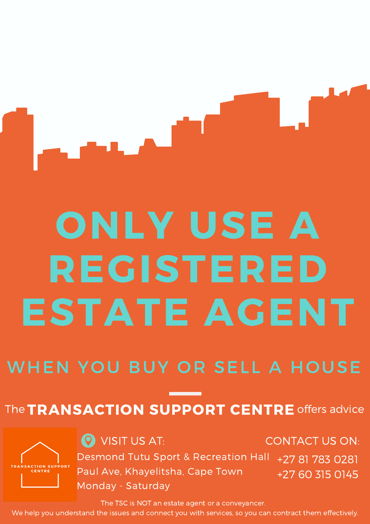# ONLY USE A REGISTERED ESTATE AGENT

#### WHEN YOU BUY OR SELL A HOUSE

#### The **TRANSACTION SUPPORT CENTRE** offers advice

**CENTRE** 

Desmond Tutu Sport & Recreation Hall Paul Ave, Khayelitsha, Cape Town Monday - Saturday **O** VISIT US AT: CONTACT US ON: +27 81 783 0281 +27 60 315 0145

The TSC is NOT an estate agent or a conveyancer.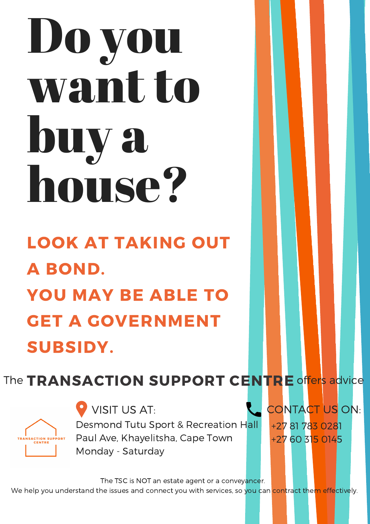# Do you wantto buy a house? LOOK AT TAKING OUT A BOND.

### YOU MAY BE ABLE TO **GET A GOVERNMENT** SUBSIDY.

CONTACT US ON: +27 81 783 0281 +27 60 315 0145

The TSC is NOT an estate agent or a conveyancer.

We help you understand the issues and connect you with services, so you can contract them effectively.

VISIT US AT: Desmond Tutu Sport & Recreation Hall Paul Ave, Khayelitsha, Cape Town

Monday - Saturday

#### The TRANSACTION SUPPORT CENTRE offers advice